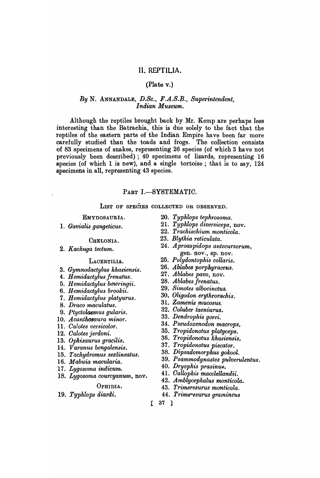# II. REPTILIA.

### (Plate v.)

### *By* N. ANNANDALE, *D.Se., F.A.S.B., Superintendent, Indian Museum.*

Although the reptiles brought back by Mr. Kemp are perhaps less interesting than the Batrachia, this is due solely to the fact that the reptiles of the eastern parts of the Indian Empire have been far more carefully studied than the toads and frogs. The collection consists of 83 specimens of snakes, representing 26 species (of which 3 have not previously been described) ; 40 specimens of lizards, representing 16 species (of which 1 is new), and a single tortoise; that is to say,  $124$ specimens in all, representing 43 species.

#### PART I.-SYSTEMATIC.

LIST OF SPECIES COLLECTED OR OBSERVED.

EMYDOSAURIA.

1. *Gavialis gangeticus.* 

#### CHELONIA.

*2. Kachuga tectum.* 

#### LACERTILIA.

- *3. Gymnodactylus khasiensis.*
- *4. H emidactylus frenatus.*
- *5. H emidactylus bowringii.*
- *6. Hemidactylus brookii.*
- *7. H emidactylus platyurus.*
- *8. Draco maculatus.*
- *9. Ptyctolaemus gularis.*
- *10. Acanthosaura minor.*
- 11. *Calotes versicolor.*
- *12. Galotes jerdoni.*
- *13. Opkisaurus gracilis.*
- 14. *Varanus bengalensis.*
- 15. *Tachydromus sexlineatus.*
- 16. Mabuia macularia.
- 17. Lygosoma indicum.
- 18. *Lygosoma courcyanum,* nov.

#### OPHIDIA.

*19. Typhlops diardi.* 

- *20. Typhlops tephrosoma.*
- 21. *Typhlops diversiceps,* nov.
- *22. Trachischium monticola.*
- *23. Blythia reticulata.*
- *24. Aproaspidops antecursorum,*  gen. nov., sp. nov.
- *25. Polydontophis collaris.*
- *26. Ablabes porphyraceus.*
- *27. Ablabes pavo,* nov.
- *28. Ablabes frenatus.*
- *29. Simotes albocinctus.*
- *30. Oligodon erythrorachis.*
- 31. *Zamenis mucosus.*
- *32. Goluber iaeniurus.*
- *33. Dendrophis gorei.*
- *34. Pseudoxenodon macrops.*
- *35. Tropidonotus platyceps.*
- *36. Tropidonotus khasiensis.*
- *37. Tropidonotus piscator.*
- *38. Dipsadomorphus gokool.*
- *39. Psammodynastes pulverulentus.*
- *40. Dryophis prasinuR.*
- 41. *Gallophis macclellandii.*
- *42. Amblycepkalus monticola.*
- *43. Trimeresurus monticola.*
- **44. Trimeresurus gramineus**
- [ 37 ]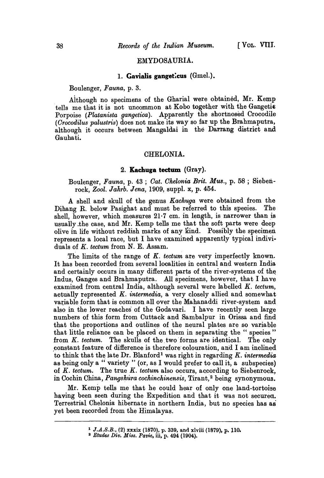#### EMYDOSAURIA.

### 1. **Gavialis gangeticus** (Gmel.).

Boulenger, *Fauna,* p. 3.

Aithough no specimens of the Gharial were obtained, Mr. Kemp tells me that it is not uncommon at Kobo together with the Gangetic Porpoise *(Platanista gangetica)*. Apparently the shortnosed Crocodile *(Orocodilus palustris)* does not make its way so far up the Brahmaputra, although it occurs between Mangaldai in the Darrang district and Gauhati.

### CHELONIA.

## 2. **Kaehuga tectum** (Gray).

Boulenger, *Fauna,* p. 43 ; *Oat. Ohelonia Brit. Mus.,* p. 58 ; Siebenrock, *Zool. Jahrb. Jena,* 1909, supp!. x, p. 454.

A shell and skull of the genus *Kachuga* were obtained from the Dihang R. below Pasighat and must be referred to this species. The shell, however, which measures  $21.7$  cm. in length, is narrower than is usually.the case, and Mr. Kemp tells me that the soft parts were deep olive in life without reddish marks of any Kind. Possibly the specimen represents a local race, but I have examined apparently typical individuals of  $K.$  tectum from  $N.$  E. Assam.

The limits of the range of *K. tectum* are very imperfectly known. It has been recorded from several localities in central and western India and certainly occurs in many different parts of the river-systems of the Indus, Ganges and Brahmaputra. All specimens, however, that I have examined from central India, although several were labelled K. *tectum*, actually represented *K. intermedia,* a very closely allied and somewhat variable form that is common all over the Mahanaddi river-system and also in the lower reaches of the Godavari. I have recently seen large numbers of this form from Cuttack and Sambalpur in Orissa and find that the proportions and outlines of the neural plates are so variable that little reliance can be placed on them in separating the " species" from K. tectum. The skulls of the two forms are identical. The only constant feature of difference is therefore colouration, and I am inclined to think that the late Dr. Blanford<sup>1</sup> was right in regarding *K. intermedia* as being only a " variety " (or, as I would prefer to call it, a subspecies) of *K. tectum.* The true *K. tectum* also occurs, according to Siebenrock, in Cochin China, *Pangshura cochinchinensis*, Tirant,<sup>2</sup> being synonymous.

Mr. Kemp tells me that he could hear of only one land-tortoise having been seen during the Expedition and that it was not securea. Terrestrial Chelonia hibernate in northern India, but no species has as yet been recorded from the Himalayas.

<sup>&</sup>lt;sup>1</sup> J.A.S.B., (2) xxxix (1870), p. 339, and xlviii (1879), p. 110.

<sup>2</sup> *Etudes Div. Mi8s. Pavie,* iii, p. 494 (1904).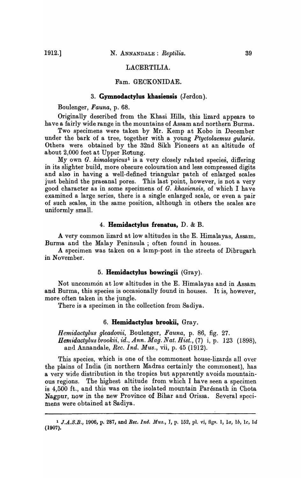### LACERTILIA.

## Fam. GECKONIDAE.

## 3. **Gymnodactylus khasiensis** (Jerdon).

Boulenger, *Fauna,* p. 68.

Originally described from the Khasi Hills, this lizard appears to ha ve a fairly wide range in the mountains of Assam and northern Burma.

Two specimens were taken by Mr. Kemp at Kobo in December under the bark of a tree, together with a young *Ptyctolaemus gularis.*  Others were obtained by the 32nd Sikh Pioneers at an altitude of about 2,000 feet at Upper Rotung.

My own *G. himalayicus <sup>1</sup>*is a very closely related species, differing in its slighter build, more obscure coloura tion and less compressed digits and also in having a well-defined triangular patch of enlarged scales just behind the praeanal pores. This last point, however, is not a very good character as in some specimens of G. *khasiensis,* of which I have examined a large series, there is a single enlarged scale, or even a pair of such scales, in the same position, although in others the scales are uniformly small.

#### 4. **Hemidactylus frenatus,** D. & B.

A very common lizard at low altitudes in the E. Himalayas, Assam, Burma and the Malay Peninsula ; often found in houses.

A specimen was taken on a lamp-post in the streets of Dibrugarh in November.

### 5. **Hemidactylus bowringii** (Gray).

Not uncommon at low altitudes in the E. Himalayas and in Assam and Burma, this species is occasionally found in houses. It is, however, more often taken in the jungle.

There is a specimen in the collection from Sadiya.

### 6. **Hemidactylus brookii,** Gray.

*Hemidactylus gleadovii,* Boulenger, *Fauna,* p. 86, fig. 27. *Hem'idactylus brookii, id., Ann. Mag. Nat. Hist.,* (7) i, p. 123 (1898), and Annandale, *Ree. Ind. Mus.,* vii, p. 45 (1912).

This species, which is one of the commonest house-lizards all over the plains of India (in northern Madras certainly the commonest), has a very wide distribution in the tropics but apparently avoids mountainous regions. The highest altitude from which I have seen a specimen is 4,500 ft., and this was on the isolated mountain Parésnath in Chota Nagpur, now in the new Province of Bihar and Orissa. Several specimens were obtained at Sadiya.

<sup>&</sup>lt;sup>1</sup> J.A.S.B., 1906, p. 287, and *Rec. Ind. Mus.*, J, p. 152, pl. vi, figs. 1, 1a, 1b, 1c, 1d (1907).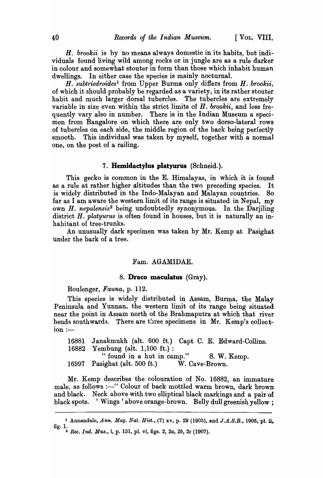*H. brookii* is hy no means always domestic in its habits, but individuals found living wild among rocks or in jungle are as a rule darker in colour and somewhat stouter in form than those which inhabit human dwellings. In either case the species is mainly nocturnal.

*H. subtriedroides*<sup>1</sup> from Upper Burma only differs from *H. brookii*, of which it should probably be regarded as a variety, in its rather stouter habit and much larger dorsal tubercles. The tubercles are extremely variable in size even within the strict limits of *H. brookii,* and less fre-. quently vary also in number. There is in the Indian Museum a specimen from Bangalore on which there are only two dorso-lateral rows of tubercles on each side, the middle region of the back being perfectly smooth. This individual was taken by myself, together with a normal one, on the post of a railing.

## **7. Hemidactyl1i& platyurus** (Schneid.).

This gecko is common in the E. Himalayas, in which it is found as a rule at rather higher altitudes than the two preceding species. It is widely distributed in the Indo-Malayan and Malayan countries. So far as I am aware the western limit of its range is situated in Nepal, my own *H. nepalensis2* being undoubtedly synonymous. In the Darjiling district *H. platyurus* is often found in houses, but it is naturally an inhahitant of tree-trunks.

An unusually dark specimen was taken by Mr. Kemp at Pasighat under the bark of a tree.

## Fam. AGAMIDAE.

### 8. **Draco maculatus** (Gray).

Boulenger, *Fauna,* p. 112.

This species is widely distributed in Assam, Burma, the Malay Peninsula and Yunnan, the western limit of its range being situated near the point in Assam north of the Brahmaputra at which that river bends southwards. There are three specimens in Mr. Kemp's collect $ion :=$ 

16881 Janakmukh (alt. 600 ft.) Capt C. E. Edward-Collins. 16882 Yembung (alt. 1,100 ft.) : " found in a hut in camp."  $S. W.$  Kemp. 16997 Pasighat (alt. 500 ft.) W. Cave-Brown.

Mr. Kemp describes the colouration of No. 16882, an immature male, as follows :- "Colour of back mottled warm brown, dark brown and black. Neck above with two elliptical black markings and a pair of black spots. 'Wings' above orange-brown. Belly dull greenish yellow;

<sup>&</sup>lt;sup>1</sup> Annandale, *Ann. Mag. Nat. Hist.*, (7) xv, p. 29 (1905), and *J.A.S.B.*, 1905, pl. ii, fig. 1. 2 *Bee. Ind. MU8.,* i, p. 151, pI. vi, figs. 2, *2a, 2b,* 2c (1907).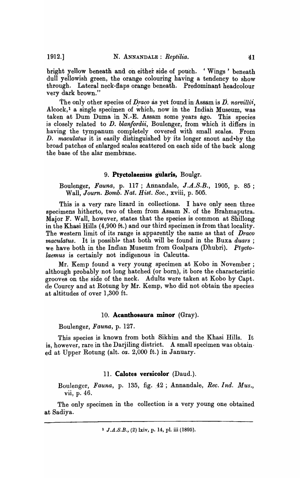bright yellow beneath and on either side of pouch. 'Wings' beneath dull yellowish green, the orange colouring having a tendency to show through. Lateral neck-flaps orange beneath. Predominant headcolour very dark brown."

The only other species of  $\overline{D}$ *raco* as yet found in Assam is  $\overline{D}$ *. norvillii*, Alcock,<sup>1</sup> a single specimen of which, now in the Indian Museum, was taken at Dum Duma in N.-E. Assam some years ago. This species is closely related to *D. blanfordii,* Boulenger, from which it differs in having the tympanum completely covered with small scales. From D. *maculatus* it is easily distinguished by its longer snout and-by the broad patches of enlarged scales scattered on each side of the back along the base of the alar membrane.

## **9. Ptyctolaemus gUlaris,** Boulgr.

Boulenger, *Fauna*, p. 117; Annandale, *J.A.S.B.*, 1905, p. 85; Wall, *Journ. Bomb. Nat. Hist. Soc.*, xviii, p. 505.

This is a very rare lizard in collections. I have only seen three specimens hitherto, two of them from Assam N. of the Brahmaputra. Major F. Wall, however, states that the species is common at Shillong in the Khasi Hills (4,900 ft.) and our third specimen is from that locality. The western limit of its range is apparently the same as that of *Draco rnaculatus.* It is possible that both will be found in the Buxa *duars*; we have both in the Indian Museum from Goalpara (Dhubri). *Ptyctolaemus* is certainly not indigenous in Calcutta.

Mr. Kemp found a very young specimen at Kobo in November; although probably not long hatched (or born), it bore the characteristic grooves on the side of the neck. Adults were taken at Kobo by Capt. de Courcy and at Rotung by Mr. Kemp, who did not obtain the species at altitudes of over 1,300 ft.

#### 10. **Acanthosaura minor** (Gray).

Boulenger, *Fauna,* p. 127.

This species is known from both Sikhim and the Khasi Hills. It is, however, rare in the Darjiling district. A small specimen was obtained at Upper Rotung (alt. *ca.* 2,000 ft.) in January.

# 11. **Calotes versicolor** (Daud.).

Boulenger, *Fauna*, p. 135, fig. 42; Annandale, Rec. Ind. Mus., vii, p. 46.

The only specimen in the collection is a very young one obtained at Sadiya.

<sup>1</sup> J.A.S.B., (2) lxiv, p. 14, pI. iii (1895).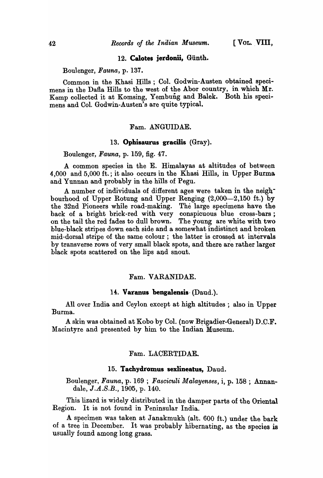# 12. Calotes jerdonii, Giinth.

Boulenger, *Fauna,* p. 137.

Common in the Khasi Hills ; Col. Godwin-Austen obtained specimens in the Dafla Hills to the west of the Abor country, in which Mr. Ksmp collected it at Komsing, Yembung and Balek. Both his specimens and Col. Godwin-Austen's are quite typical.

### Fam. ANGUIDAE.

#### 13. Ophisaurus gracilis (Gray).

Boulenger, *Fauna,* p. 159, fig. 47.

A common species in the E. Himalayas at altitudes of between 4,000 and 5,000 ft.; it also occurs in the Khasi Hills, in Upper Burma and Yunnan and probably in the hills of Pegu.

A number of individuals of different ages were taken in the neighbourhood of Upper Rotung and Upper Renging  $(2,000-2,150)$  ft.) by the 32nd Pioneers while road-making. The large specimens have the back of a bright brick-red with very conspicuous blue cross-bars; on the tail the red fades to dull brown. The young are white with two blue~black stripes down each side and a somewhat indistinct and broken mid-dorsal stripe of the same colour; the latter is crossed at intervals by transverse rows of very small black spots, and there are rather larger black spots scattered on the lips and snout.

### Fam. VARANIDAE.

### 14. Varanus bengalensis· (Daud.).

All over lndia and Ceylon except at high altitudes; also in Upper Burma.

A skin was obtained at Kobo by Col. (now Brigadier-General) D.C.F. Macintyre and presented by him to the Indian Museum.

### Fam. LACERTIDAE.

#### 15. Tachydromus sexlineatus, Daud.

Boulenger, *Fauna,* p. 169 ; *Fasciculi Malayenses,* i, p. 158 ; Annandale, J.A.S.B., 1905, p. 140.

This lizard is widely distributed in the damper parts of the Oriental Region. It is not found in Peninsular India.

A specimen was taken at Janakmukh (alt. 600 ft.) under the bark of a tree in December. It was probably hibernating, as the species is usually found among long grass.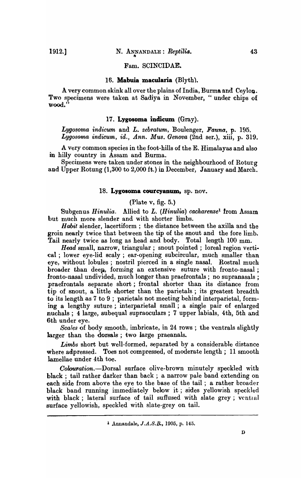Fam. SCINCIDAE.

### 16. **Mabuia. macularia** (Blyth).

A very common skink all over the plains of India, Burma and Ceylon. Two specimens were taken at Sadiya in November, "under chips of Wood."

#### 17. **Lygosoma indicum** (Gray).

Lygosoma *indicum* and *L. zebratum*, Boulenger, Fauna, p. 195. Lygosoma indicum, id., Ann. Mus. Genova (2nd ser.), xiii, p. 319.

A very common species in the foot-hills of the E. Himalayas and also in hilly country in Assam and Burma.

Specimens were taken under stones in the neighbourhood of Rotung and Upper Rotung (1,300 to 2,000 ft.) in December, January and March.

#### 18. **Lygosoma courcyanum,** sp. nov.

#### (Plate  $v$ , fig. 5.)

Subgenus *Hinulia*. Allied to L. (*Hinulia*) *cacharense*<sup>1</sup> from Assam but much more slender and with shorter limbs.

*Habit* slender, lacertiform ; the distance between the axilla and the groin nearly twice that between the tip of the snout and the fore limb. Tail nearly twice as long as head and body. Total length 100 mm.

*Head* small, narrow, triangular; snout pointed; loreal region vertical; lower eye-lid scaly; ear-opening subcircular, much smaller than eye, without lobules; nostril pierced in a single nasal. Rostral much broader than deep, forming an extensive suture with fronto-nasal; Ironto-nasal undivided, much longer than praefrontals; no supranasals ; praefrontals separate short; frontal shorter than its distance from tip of snout, a little shorter than the parietals ; its greatest breadth to its length as 7 to 9 ; parietals not meeting behind interparietal, forming a lengthy suture; interparietal small; a single pair of enlarged nuchals; 4 large, subequal supraoculars; 7 upper labials, 4th, 5th and 6th under eye.

*Scales* of body smooth, imbricate, in 24 rows; the ventrals slightly larger than the dorsals; two large praeanals.

*Limbs* short but well-formed, separated by a considerable distance where adpressed. Toes not compressed, of moderate length; 11 smooth lamellae under 4th toe.

Colouration.--Dorsal surface olive-brown minutely speckled with black ; tail rather darker than back ; a narrow pale band extending on each side from above the eye to the base of the tail; a rather broader black band running immediately below it; sides yellowish speckled with black; lateral surface of tail suffused with slate grey; ventral surface yellowish, speckled with slate-grey on tail.

<sup>&</sup>lt;sup>1</sup> Annandale, *J.A.S.B.*, 1905, p. 145.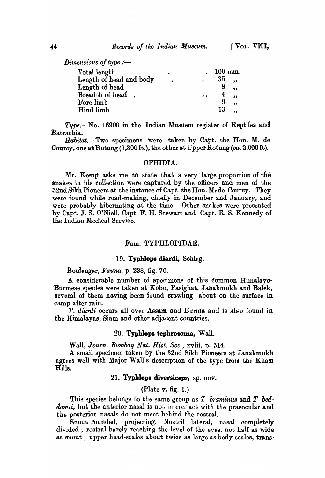Dimensions of type :-

| Total length            |           | $100$ mm. |                         |
|-------------------------|-----------|-----------|-------------------------|
| Length of head and body | $\bullet$ | 35        |                         |
| Length of head          |           | ୪         |                         |
| Breadth of head.        | $\bullet$ | 4         | $\overline{\mathbf{z}}$ |
| Fore limb               |           | 9         | $\bullet$               |
| Hind limb               |           | 13        |                         |

*Type.-No.* 16900 in the Indian Musuem register of Reptiles and Batrachia.

*Habitat.-Two* specimens Were taken by Capt. the Hon. M. de Courey, one at Rotung (1,300 ft.), the other at Upper Rotung (ca. 2,OOOft).

### OPHIDIA.

Mr. Kemp asks me to state that a very' large- proportion of the anakes in his collection were captured by the officers and men of the  $32nd$  Sikh Pioneers at the instance of Capt. the Hon. M. de Courcy. They were found while road-making, chiefly in December and January, and were probably hibernating at the time. Other snakes were presented by Capt. J. S. O'Niell, Capt. F. H. Stewart and Capt. R. S. Kennedy of the Indian Medical Service.

## Fam. TYPHLOPIDAE.

## 19. Typhlops diardi, Sehleg.

## Boulenger, *Fauna,* p. 238, fig. 70.

A considerable number of specimens of this common Himalayo-Burmese species were taken at Kobo, Pasighat, Janakmukh and Balek, several of them having been found crawling about on the surface in camp after rain.

*T. diardi* occurs all over Assam and Burma and is also found in the Himalayas, Siam and other adjacent countries.

#### 20. Typhlops tephrosoma, Wall.

Wall, *Journ. Bombay Nat. Rist. Soc.,* xviii, p. 314.

A smaH specimen taken by the 32nd Sikh Pioneers at Janakmukh agrees well with Major Wall's description of the type from the Khasi -Hills.

# 21. Typhlops diversiceps, sp. nov.

# (Plate v, fig. 1.)

This species belongs to the same group as  $T$  *braminus* and  $T$  bed*domii*, but the anterior nasal is not in contact with the praeocular and the posterior nasals do not meet behind the rostral.

Snout rounded, projecting. Nostril lateral, nasal completely divided; rostral barely reaching the level of the eyes, not hatf as wide as snout; upper head-scales about twice as large as body-scales, trans-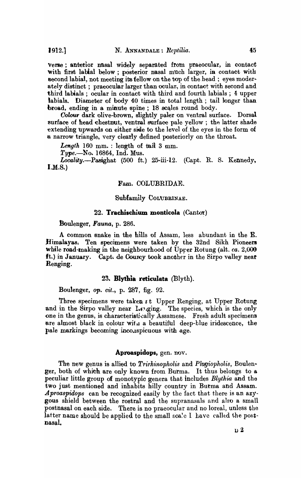verse; anterior nasal widely separated from praeocular, in contact with first labial below; posterior nasal much larger, in contact with second labial, not meeting its fellow on the top of the head : eyes moderately distinct; praeocular larger than ocular, in contact with second and third labials ; ocular in contact with third and fourth labials ; 4 upper labials. Diameter of body 40 times in total length; tail longer than broad, ending in a minute spine; 18 scales round body.

*Oolow-* dark olive-brown, slightly paler on ventral surface. Dorsal surface of head chestnut, ventral surface pale yellow; the latter shade extending upwards on either side to the level of the eyes in the form of a narrow triangle, very clearly defined posteriorly on the throat.

 $Length 160 mm.$ : length of tail  $3 mm.$ 

*Type.-No.* 16864, Ind. Mus.

Locality.-Pasighat (500 ft.) 25-iii-12. (Capt. R. S. Kennedy, I.M.S.)

#### Fam. COLUBRIDAE.

## Subfamily COLUBRINAE.

## 22. **Trachischium monticola** (Cantor)

### Boulenger, *Fauna,* p. 286.

A common snake in the hills of Assam, less abundant in the E. Himalayas. Ten specimens were taken by the 32nd Sikh Pioneers while road-making in the neighbourhood of Upper Rotung (alt. *ca.* 2,000 ft.) in January. Capt. de Courcy took another in the Sirpo valley near Renging.

## 2S~ **Blythia reticulata** (Blyth).

Boulenger, *op. cit.,* p. 287, fig. 92.

Three specimens were taken  $\epsilon t$  Upper Renging, at Upper Rotung and in the Sirpo valley near Lenging. The species, which is the only one in the genus, is characteristically Assamese. Fresh adult specimens are almost black in colour with a beautiful deep-blue iridescence, the pale markings becoming inconspicuous with age.

### **Aproaspidops,** gen. nov.

The new genus is allied to *Trirhinopholis* and *Plagiopholis*, Boulenger, both of whith are only known from Burma. It thus belongs to a peculiar little group of monotypic genera that includes *Blythia* and the two just mentioned and inhabits hilly country in Burma and Assam. *Aproaspidops* can be recognized easily by the fact that there is an azygous shield between the rostral and the supranasals and also a small postnasal on each side. There is no praeocular and no loreal, unless the latter name should be applied to the small scale I have called the postnasal.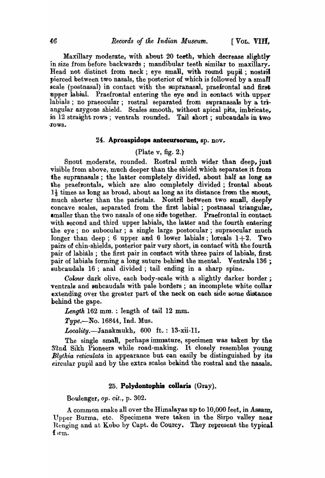Maxillary moderate, with about 20 teeth, which decrease slightly in size from before backwards; mandibular teeth similar to maxillary. Head not distinct from neck; eye small, with round pupil; nostril pierced between two nasals, the posterior of which is followed by a small scale (postnasal) in contact with the supranasal, praefrontal and first npper lahial. Praefrontal entering the eye and in eontact with upper labials; no praeocular; rostral separated from supranasals by a triangular azygous shield. Scales smooth, without apical pits, imbricate, in 12 straight rows; ventrals rounded. Tail short; subcaudals in two ·l'ows ...

## 24. Aproaspidops antecursorum, sp. nov.

# (Plate v, fig. 2.}

Snout moderate, rounded. Rostral much wider than deep, just visible from above, much deeper than the shield which separates. it from the supranasals; the latter completely divided, about half as long as the praefrontals, which are also completely divided; frontal about.  $1\frac{1}{3}$  times as long as broad, about as long as its distance from the snout, much shorter than the parietals. Nostril between two small, deeply concave scales, separated from the first labial; postnasal triangular, smaller than the two nasals of one side together. Praefrontal in contact with second and third upper labials, the latter and the fourth entering the eye; no subocular; a single large postocular; supraocular much longer than deep; 6 upper and 6 lower labials; loreals  $1+2$ . Two pairs of chin-shields, posterior pair very short, in contact with the fourth pair of labials ; the first pair in contact with three pairs of labials, first pair of labials forming a long suture behind the mental. Ventrals  $136$ ;  $\overline{\text{subcaudals}}$  16; anal divided; tail ending in a sharp spine.

Colour dark olive, each body-scale with a slightly darker border; ventrals and subcaudals with pale borders; an incomplete white collar extending over the greater part of the neck on each side some distance behind the gape.

*Length* 162 mm. : length of tail 12 mm.

*Type.-No.* 16844, Ind. Mus.

Locality.-Janakmukh, 600 ft.: 13-xii-11.

The single small, perhaps immature, specimen was taken by the 32nd Sikh Pioneers while road-making. It closely resembles young Blythia reticulata in appearance but can easily be distinguished by its circular pupil and by the extra scales behind the rostral and the nasals.

## 25. **Polydontophis collaris** (Gray).

Boulenger, op. cit., p. 302.

A common snake all over the Himalayas up to  $10,000$  feet, in Assam, Upper Burma, etc. Specimens were taken in the Sirpo valley near Renging and at Kobo by Capt. de Courcy. They represent the typical f *i*rm.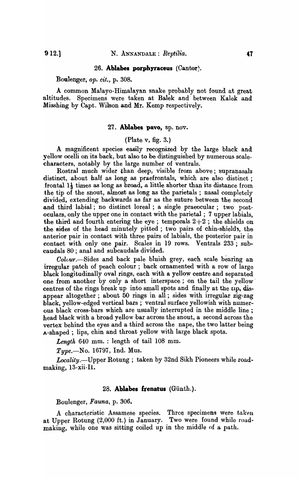#### 26. **Ablabes porphyraceus** *(Cantor)*.

Boulenger, *Ope cit.,* p. 308.

A common Malayo-Himalayan snake probably not found at great altitudes. Specimens were taken at Balek and between Kalek and Misshing by Capt. Wilson and Mr. Kemp respectively.

### 27. Ablabes pavo, sp. nov.

### (Plate v, fig. 3.)

A magnificent species easily recognized by the large black and yellow ocelli on its back, but also to be distinguished by numerous scalecharacters, notably by the large number of ventrals.

Rostral much wider than deep, visible from above; supranasals distinct, about half as long as praefrontals, which are also distinct: frontal  $1\frac{1}{3}$  times as long as broad, a little shorter than its distance from the tip of the snout, almost as long as the parietals; nasal completely divided, extending backwards as far as the suture between the second and third labial; no distinct loreal ; a single praeocular; two postoculars, only the upper one in contact with the parietal; 7 upper labials, the third and fourth entering the eye; temporals  $2+2$ ; the shields on the sides of the head minutely pitted; two pairs of chin-shields, the anterior pair in contact with three pairs of labials, the posterior pair in contact with only one pair. Scales in 19 rows. Ventrals 233; subcaudals 80; anal and subcaudals divided.

Colcur.-Sides and back pale bluish grey, each scale bearing an irregular patch of peach colour; back ornamented with a row of large black longitudinally oval rings, each with a yellow centre and separated one from another by only a short interspace; on the tail the yellow' centres of the rings break up into small spots and finally at the tip, disappear altogether; about 50 rings in all; sides with irregular zig-zag black, yellow-edged vertical bars; ventral surface yellowish with numerous black cross-bars which are usually interrupted in the middle line; head black with a broad yellow bar across the snout, a second across the vertex behind the eyes and a third across the nape, the two latter being A-shaped; lips, chin and throat yellow with large black spots.

*Lengtlt* 640 mm. : length of tail 108 mm.

*Type.-No.* 16797, Ind. Mus.

*Locality.-Upper* Rotung ; taken by 32nd Sikh Pioneers while roadmaking, 13-xii-Il.

#### 28. **Ablabes frenatus** (Günth.).

Boulenger, *Fauna,* p. 306.

A characteristic Assamese species. Three specimens were taken at Upper Rotung (2,000 ft.) in January. Two were found while roadmaking, while one was sitting coiled up in the middle of a path.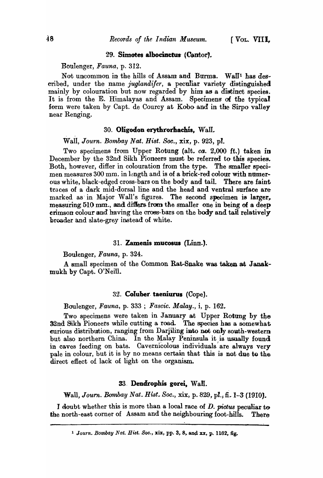#### 29. Simotes albocinctus (Cantor).

Boulenger, *Fauna,* p. 312.

Not uncommon in the hills of Assam and Burma. Wall<sup>1</sup> has described, under the name *juglandifer*, a peculiar variety distinguished mainly by colouration but now regarded by him as a distinct species. It is from the E. Himalayas and Assam. Specimens of the typical form were taken by Capt. de Courcy at Kobo and in the Sirpo valley near Renging.

# 30. Oligodon erythrorhachis, Wall.

Wall, *Journ. Bombay Nat. Hist. Soc.,* xix, p. 923, pI.

Two specimens from Upper Rotung (alt. *ca.* 2,000 ft.) taken in December by the 32nd Sikh Pioneers must be referred to this species. Both, however, differ in colouration from the type. The smaller specimen measures 300 mm. in length and is of a brick-red colour with numerous white, black-edged cross-bars on the body and tail. There are faint traces of a dark mid-dorsal line and the head and ventral surface are marked as in Major Wall's figures. The second specimen is larger, measuring 510 mm., and differs from the smaller one in being of a deep crimson colour and having the cross-bars on the body and tail relatively broader and slate-grey instead of white.

### 31. Zamenis mucosus (Linn.).

Boulenger, *Fauna,* p. 324.

A small specimen of the Common Rat-Snake was taken at Janakmukh by Capt. O'Neill.

## 32. CoIuber. taeniurus (Cope).

Boulenger, *Fauna,* p. 333 ; *Fascic. Malay.,* i, p. 162.

Two specimens were taken in January at Upper Rotung by the 32nd Sikh Pioneers while cutting a road. The species has a somewhat curious distribution, ranging from Darjiling into not only south-western but also northern China. In the Malay Peninsula it is usually found in caves feeding on bats. Cavernicolous individuals' are always very pale in colour, but it is by no means certain that this is not due to the direct effect of lack of light on the organism.

#### 33. Dendrophis gorei, Wall.

Wall, *Journ. Bombay Nat. Hist.* Soc., xix, p. 829, pl., fi. 1–3 (1910).

J doubt whether this is more than a local race of D. *pictus* peculiar to the north -east corner of Assam and the neighbouring foot-hills. There

<sup>&</sup>lt;sup>1</sup> Journ. Bombay Nat. Hist. Soc., xix, pp. 3, 8, and xx, p. 1162, fig.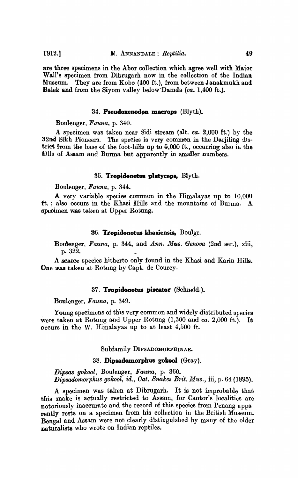are three specimens in the Abor collection which agree well with Major Wall's specimen from Dibrugarh now in the collection of the Indian Museum. They are from Kobo (400 ft.), from between Janakmukh and Balek and from the Siyom valley below-Damda (ca. 1,400 ft.).

### 34. Pseudoxenodon macrops (Blyth).

Boulenger , *Fauna,* p. 340.

A specimen was taken near Sidi stream (alt. *ea.* 2,000 ft.) by the 32nd Sikh Pioneers. The species is very common in the Darjiling district from the base of the foot-hills up to  $5,000$  ft., occurring also in the hills of Assam and Burma but apparently in smaller numbers.

### 35. **Tropidonotus platyceps, Blyth.**

Boulenger, *Fauna*, p. 344.

A very variable species common in the Himalayas up to 10,000 ft. ; also occurs in the Khasi Hills and the mountains of Burma. A specimen was taken at Upper Rotung.

#### :36. **Tropidonotus kbasiensia,** Bouigr.

Bou\enger, *Fauna,* p. 344, and *Ann. Mus. Genova* (2nd ser.), xiii, p.. 322.

A Bearce species hitherto only found in the Khasi and Karin Hills. One was taken at Rotung by Capt. de Courcy.

### 37. **Tropidonotus piscator** (Schneid.).

Boulenger, *Fauna,* p. 349.

Young specimens of this very common and widely distributed species Were taken at Rotung and Upper Rotung (1,300 and *ca.* 2,000 ft.). It occurs in the W. Himalayas up to at least 4)500 ft.

Subfamily DIPSADOMORPHINAE.

### 38. **Dipsadomorpbus** gokool (Gray).

*Dipsas gQkool,* Boulenger, *Fauna,* p. 360. *Dipsodomorphus gokool, id., Cat. Snakes Brit. Mus., iii, p.* 64 (1895).

A specimen was taken at Dibrugarh. It is not improbable that this snake is actually restricted to Assam, for Cantor's localities are notoriously inaccurate and the record of this species from Penang apparently rests on a specimen from his collection in the British Museum. Bengal and Assam were not clearly distinguished by many of the older naturalists who wrote on Indian reptiles.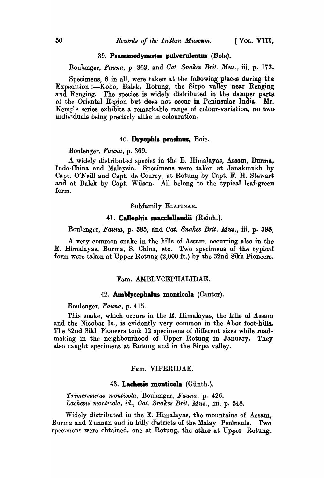#### $39.$  Psammodynastes pulverulentus (Boie).

Boulenger, *Fauna,* p. 363, and *Oat. Snakes Brit. Mus.,* iii, p. 173.

Specimens, 8 in all, were taken at the following places during the Expedition :- Kobo, Balek, Rotung, the Sirpo valley near Renging and Renging. The species is widely distributed in the damper parts of the Oriental Region but docs not occnr in Peninsular India. Mr. Kemp's series exhibits a remarkable range of colour-variation, no two individuals being precisely alike in colouration.

## 40. Dryophis prasinus, Boie.

BOlllenger, *Fauna,* p. 369.

A widely distributed species in the E. Himalayas, Assam, Burma, Indo-China and Malaysia. Specimens were taKen at Janakmukh by Capt. O'Neill and Capt. de Courcy, at Rotung by Capt. F. H. Stewart and at Balek by Capt. Wilson. All belong to the typical leaf-green form.

## Subfamily ELAPINAE.

## 41. Callophis macclellandii (Reinh.).

Boulenger, *Fauna*, p. 385, and *Cat*, *Snakes Brit. Mus.*, iii, p. 398.

A very common snake in the hills of Assam, occurring also in the E. Himalayas, Burma, S. China, etc. Two specimens of the typical form were taken at Upper Rotung (2,000 ft.) by the 32nd Sikh Pioneers.

### Fam. AMBLYCEPHALIDAE.

#### 42. Amblycephalus monticola (Cantor).

Boulenger, *Fauna,* p. 415.

This snake, which occurs in the E. Himalayas, the hills of Assam and the Nicobar Is., is evidently very common in the Abor foot-hills. The 32nd Sikh Pioneers took 12 specimens of different sizes while roadmaking in the neighbourhood of Upper Rotung in January. They also caught specimens at Rotung and in the Sirpo valley.

### Fam. VIPERIDAE.

#### 43. Lachesis monticola (Günth.).

*Trimeresurus monticola, Boulenger, Fauna, p. 426.* Lachesis monticola, *id.*, *Cat. Snakes Brit. Mus.*, *iii*, p. 548.

\Videly distributed in the E. Himalayas, the mountains of Assam, Burma and Yunnan and in hilly districts of the Malay Peninsula. Two specimens were obtained, one at Rotung, the other at Upper Rotung.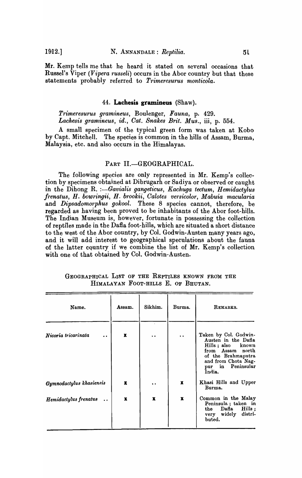Mr. Kemp tells me that he heard it stated on several occasions that Russel's Viper *(Vipera russeli)* occurs in the Abor country but that these statements probably referred to *Trimeresurus monticola*.

#### 44. **Lachesis gramineus** (Shaw).

*Trimeresurus gramineus,* Boulenger, *Fauna,* p. 429. *Lachesis gramineus, id., Oat. Snakes Brit. Mus.,* iii, p. 554.

A small specimen of the typical green form was taken at Kobo by Capt. Mitchell. The species is common in the hills of Assam, Burma, Malaysia, etc. and also occurs in the Himalayas.

### PART II.-GEOGRAPHICAL.

The following species are only represented in Mr. Kemp's collection by specimens obtained at Dibrugarh or Sadiya or observed or caught in the Dihong R. :-Gavialis gangeticus, Kachuga tectum, Hemidactylus *frenatus, H. bowringii, H. brookii, Calotes versicolor, Mabuia macularia*  and *Dipsadomorphus gokool*. These 8 species cannot, therefore, be regarded as having been proved to be inhabitants of the Abor foot-hills. The Indian Museum is, however, fortunate in possessing the collection of reptiles made in the Dafla foot-hills, which are situated a short distance to the west of the Abor country, by Col. Godwin-Austen many years ago, and it will add interest to geographical speculations about the fauna of the latter country if we combine the list of Mr. Kemp's collection with one of that obtained by Col. Godwin-Austen.

| GEOGRAPHICAL LIST OF THE REPTILES KNOWN FROM THE |  |  |  |  |  |
|--------------------------------------------------|--|--|--|--|--|
| HIMALAYAN FOOT-HILLS E. OF BHUTAN.               |  |  |  |  |  |

| Name.                                         | Assam.      | Sikhim.              | Burma.           | REMARKS.                                                                                                                                                          |
|-----------------------------------------------|-------------|----------------------|------------------|-------------------------------------------------------------------------------------------------------------------------------------------------------------------|
| Nicoria tricarinata<br>$\ddot{\phantom{0}}$   | x           | $\ddot{\phantom{0}}$ |                  | Taken by Col. Godwin-<br>Austen in the Dafla<br>Hills; also known<br>from Assam north<br>of the Brahmaputra<br>and from Chota Nag-<br>pur in Peninsular<br>India. |
| Gymnodactylus khasiensis                      | $\mathbf x$ | $\ddot{\phantom{a}}$ | x                | Khasi Hills and Upper<br>Burma.                                                                                                                                   |
| Hemidactylus frenatus<br>$\ddot{\phantom{a}}$ | x           | $\boldsymbol{x}$     | $\boldsymbol{x}$ | Common in the Malay<br>Peninsula; taken in<br>Dafla<br>Hills:<br>the<br>distri-<br>very widely<br>buted.                                                          |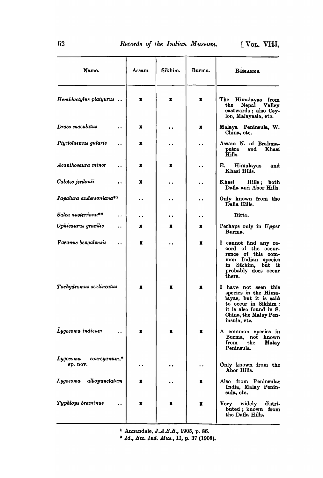| Name.                                                  | Assam.    | Sikhim.   | Burma.               | REMARKS.                                                                                                                                                        |
|--------------------------------------------------------|-----------|-----------|----------------------|-----------------------------------------------------------------------------------------------------------------------------------------------------------------|
| Hemidactylus platyurus                                 | x         | x         | Х                    | The<br>Himalayas from<br>Nepal Valley<br>the<br>eastwards; also Cey-<br>lon, Malayasia, etc.                                                                    |
| Draco maculatus<br>$\ddot{\phantom{a}}$                | x         |           | x                    | Malaya Peninsula, W.<br>China, etc.                                                                                                                             |
| Ptyctolaemus gularis<br>$\ddot{\phantom{0}}$           | x         |           |                      | Assam N. of Brahma-<br>and<br>Khasi<br>putra<br>Hills.                                                                                                          |
| Acanthosaura minor                                     | x         | x         | . .                  | E.<br>Himalayas<br>and<br>Khasi Hills.                                                                                                                          |
| Calotes jerdonii                                       | x         |           |                      | Khasi<br>Hills; both<br>Dafla and Abor Hills.                                                                                                                   |
| Japalura andersoniana*1                                |           |           |                      | Only known from the<br>Dafia Hills.                                                                                                                             |
| Salea austeniana**<br>$\ddot{\phantom{a}}$             | . .       | $\bullet$ | $\ddot{\phantom{a}}$ | Ditto.                                                                                                                                                          |
| Ophisaurus gracilis<br>$\ddot{\phantom{a}}$            | x         | x         | x                    | Perhaps only in Upper<br>Burma.                                                                                                                                 |
| Varanus bengalensis<br>$\ddot{\phantom{a}}$            | x         |           | x                    | I cannot find any re-<br>cord of the occur-<br>rence of this com-<br>mon Indian species<br>in Sikhim, but it<br>probably does occur<br>there.                   |
| Tachydromus sexlineatus                                | x         | x         | x                    | I have not seen this<br>species in the Hima-<br>layas, but it is said<br>to occur in Sikhim:<br>it is also found in S.<br>China, the Malay Pen-<br>insula, etc. |
| Lygosoma indicum                                       | x         | x         | x                    | A common species in<br>Burma, not known<br>the<br>from<br>Malay<br>Peninsula.                                                                                   |
| <b>Lygosoma</b><br>$\textit{coureyanum,*}$<br>sp. nov. | $\cdot$ . |           | $\ddot{\phantom{0}}$ | Only known from the<br>Abor Hills.                                                                                                                              |
| Lygosoma<br>albopunctatum                              | x         |           | x                    | Also from Peninsular<br>India, Malay Penin-<br>sula, etc.                                                                                                       |
| Typhlops braminus                                      | x         | x         | x                    | Very widely<br>distri-<br>buted; known from<br>the Dafla Hills.                                                                                                 |
|                                                        |           |           |                      |                                                                                                                                                                 |

<sup>1</sup> Annandale,  $J.A.S.B., 1905, p. 85.$ 

a *Id., Bee. Ind. MUB.,* II, p. 37 (1908).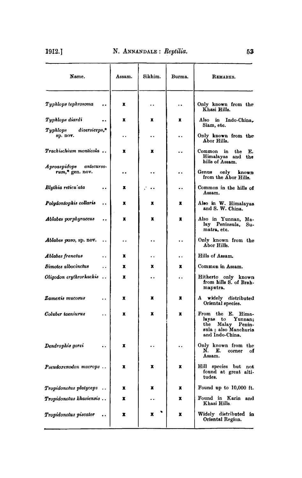| Name.                                        | Assam.               | Sikhim.              | Burma.               | REMARKS.                                                                                                          |
|----------------------------------------------|----------------------|----------------------|----------------------|-------------------------------------------------------------------------------------------------------------------|
| Typhlops tephrosoma                          | x                    | $\ddot{\phantom{0}}$ | . .                  | Only known from the<br>Khasi Hills.                                                                               |
| Typhlops diardi                              | x                    | x                    | x                    | Also in Indo-China.                                                                                               |
| diversiceps,*<br>$\bm{Typhlops}$<br>sp. nov. | $\ddot{\phantom{0}}$ | $\ddot{\phantom{1}}$ | $\ddot{\phantom{0}}$ | Siam, etc.<br>Only known from the<br>Abor Hills.                                                                  |
| <b>Trachischium monticola</b>                | x                    | x                    | $\cdot$              | Common<br>in<br>the<br>Е.<br>Himalayas and<br>the<br>hills of Assam.                                              |
| Aproaspidops antecurso-<br>rum,* gen. nov.   | . .                  |                      | $\ddot{\phantom{0}}$ | Genus<br>only<br>known<br>from the Abor Hills.                                                                    |
| Blythia reticu'ata<br>$\ddot{\phantom{0}}$   | x                    |                      | . .                  | Common in the hills of<br>Assam.                                                                                  |
| Polydontophis collaris<br>. .                | x                    | x                    | x                    | Also in W. Himalayas<br>and S. W. China.                                                                          |
| Ablabes por phyraceus<br>                    | x                    | x                    | x                    | Also in Yunnan, Ma-<br>lay Peninsula, Su-<br>matra, etc.                                                          |
| Ablabes pavo, sp. nov.                       | . .                  | $\ddot{\phantom{0}}$ | $\ddot{\phantom{0}}$ | Only known from the<br>Abor Hills.                                                                                |
| Ablabes frenatus<br>$\ddot{\phantom{0}}$     | x                    | $\cdot$ .            | . .                  | Hills of Assam.                                                                                                   |
| Simotes albocinctus<br>$\ddot{\phantom{a}}$  | x                    | x                    | x                    | Common in Assam.                                                                                                  |
| Oligodon erythrorhackis.                     | x                    | $\ddot{\phantom{0}}$ | . .                  | Hitherto only known<br>from hills S. of Brah-<br>maputra.                                                         |
| Zamenis mucosus<br>$\ddot{\phantom{0}}$      | x                    | x                    | Х                    | A widely<br>distributed<br>Oriental species.                                                                      |
| Coluber taeniurus                            | x                    | x                    | x                    | From the E.<br>Hima-<br>layas<br>to<br>Yunnan:<br>Malay Penin-<br>the<br>sula ; also Manchuria<br>and Indo-China. |
| Dendrophis gorei                             | x                    | . .                  | . .                  | Only known from the<br>N.<br>E.<br>corner<br>оf<br>Assam.                                                         |
| Pseudoxenodon macrops                        | Х                    | x                    | x                    | Hill species but not<br>found at great alti-<br>tudes.                                                            |
| Tropidonotus platyceps                       | x                    | x                    | Х                    | Found up to 10,000 ft.                                                                                            |
| Tropidonotus khasiensis                      | x                    |                      | x                    | Found in Karin and<br>Khasi Hills.                                                                                |
| Tropidonotus piscator                        | x                    | x                    | x                    | Widely distributed in<br>Oriental Region.                                                                         |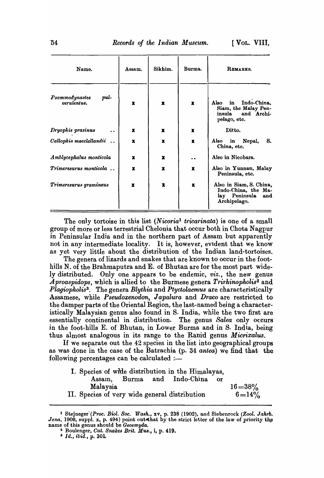| Name.                                        | Assam.       | Sikhim.      | Burma.       | REMARKS.                                                                                  |
|----------------------------------------------|--------------|--------------|--------------|-------------------------------------------------------------------------------------------|
| pul-<br><b>Psammodynastes</b><br>verulentus. | x            | $\mathbf x$  | $\mathbf{x}$ | Indo-China,<br>Also<br>in<br>Siam, the Malay Pen-<br>insula<br>and Archi-<br>pelago, etc. |
| Dryophis prasinus                            | $\mathbf{x}$ | $\mathbf{x}$ | $\mathbf x$  | Ditto.                                                                                    |
| Callophis macclellandii                      | $\mathbf x$  | $\mathbf{x}$ | $\mathbf x$  | Also<br>in<br>Nepal,<br>S.<br>China, etc.                                                 |
| Amblycephalus monticola                      | x            | x            | . .          | Also in Nicobars.                                                                         |
| Trimeresurus monticola                       | x            | x            | x            | Also in Yunnan, Malay<br>Peninsula, etc.                                                  |
| Trimeresurus gramineus                       | $\mathbf x$  | x            | х            | Also in Siam, S. China,<br>Indo-China, the Ma-<br>lay Peninsula<br>and<br>Archipelago.    |

The only tortoise in this list *(Nicoria1 tricarinata)* is one of a small group of more or less terrestrial Chelonia that occur both in Chota Nagpur in Peninsular India and in the northern part of Assam but apparently not in any intermediate locality. It is, however, evident that we know as yet very little about the distribution of the Indian land-tortoises.

The genera of lizards and snakes that are kriown to occur in the foothills N. of the Brahmaputra and E. of Bhutan are for the most part widely distributed. Only one appears to be endemic, *viz.,* the new genus *A proaspidops, which is allied to the Burmese genera <i>Trirhinopholis*<sup>2</sup> and *Plagiopholis3 •* The genera *Blythia* and *Ptyctolaemus* are characteristically Assamese, while *Pseudoxenodon, Japalura* and *Draco* are restricted to the damper parts of the Oriental Region, the last-named being a characteristically Malaysian genus also found in S. India, while the two first are essentially continental in distribution. The genus *Salea* only occurs in the foot-hills E. of Bhutan, in Lower Burma and in S. India, being thus almost analogous in its range to the Ranid genus *Micrixalus.* 

If we separate out the 42 species in the list into geographical groups as was done in the case of the Batrachia (p. 34 *antea*) we find that the following percentages can be calculated  $:$ 

|                                               |  | I. Species of wide distribution in the Himalayas, |    |             |
|-----------------------------------------------|--|---------------------------------------------------|----|-------------|
|                                               |  | Assam, Burma and Indo-China                       | or |             |
| Malaysia                                      |  |                                                   |    | $16 = 38\%$ |
| II. Species of very wide general distribution |  |                                                   |    | $6 = 14\%$  |

<sup>&</sup>lt;sup>1</sup> Stejneger (Proc. Biol. Soc. Wash., xv, p. 238 (1902), and Siebenrock (Zool. Jahrb. *Jena*, 1909, suppl. x, p. 494) point out that by the strict letter of the law of priority the name of this genus should be *Geoemyda.* 

<sup>2</sup> Boulenger, *Oat. Snake8 Brit. MU8.,* i, p. 419.

a *Id., ibid.,* p. 301.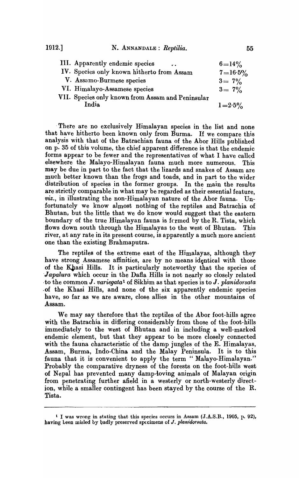| III. Apparently endemic species<br>$\sim$ $\sim$  | $6 = 14\%$   |
|---------------------------------------------------|--------------|
| IV. Species only known hitherto from Assam        | $7 = 16.5\%$ |
| V. Assamo-Burmese species                         | $3 = 7\%$    |
| VI. Himalayo-Assamese species                     | $3 = 7\%$    |
| VII. Species only known from Assam and Peninsular |              |
| India                                             | $1 = 2.5\%$  |

. There are no exclusively Himalayan species in the list and none that have hitherto been known only from Burma. If we compare this analysis with that of the Batrachian fauna of the Abor Hills published on p. 35 of this volume, the chief apparent difference is that the endemic forms appear to be fewer and the representatives of what I have called elsewhere the Malayo-Himalayan fauna much more numerous. This may be due in part to the fact that the lizards and snakes of Assam are much better known than the frogs and toads, and in part to the wider distribution of species in the former groups. In the main the results are strictly comparable in what may be regarded as their essential feature, *viz.,* in illustrating the non-Himalayan nature of the Abor fauna. Unfortunately we know almost nothing of the reptiles and Batrachia of Bhutan, but the little that we do know would suggest that the eastern boundary of the true Himalayan fauna is fermed by the R. Tista, which flows down south through the Himalayas to the west of Bhutan. This river, at any rate in its present course, is apparently a much more ancient one than the existing Brahmaputra.

The reptiles of the extreme east of the Himalayas, although they have strong Assamese affinities, are by no means identical with those of the Khasi Hills. It is particularly noteworthy that the species of *Japalura* which occur in the Dafla Hills is not nearly so closely related ·to the common J. *variegata1* of Sikhim as that species is to J. *planido'rsata*  .of the Khasi Hills, and none of the six apparently endemic species have, so far as we are aware, close allies in the other mountains of Assam.

We may say therefore that the reptiles of the Abor foot-hills agree with the Batrachia in differing considerably from those of the foot-hills immediately to the west of Bhutan and in including a well-marked endemic element, but that they appear to be more closely connected with the fauna characteristic of the damp jungles of the E. Himalayas, Assam, Burma, Indo-China and the Malay Peninsula. It is to this fauna that it is convenient to apply the term "Malayo-Himalayan." Probably the comparative dryness of the forests on the foot-hills west of Nepal has prevented many damp-loving animals of Malayan origin from penetrating further afield in a westerly or north-westerly direction, while a smaller contingent has been stayed by the course of the R. Tista.

<sup>&</sup>lt;sup>1</sup> I was wrong in stating that this species occurs in Assam (J.A.S.B., 1905, p. 92), having teen misled by badly preserved specimens of J. *planidorsata*.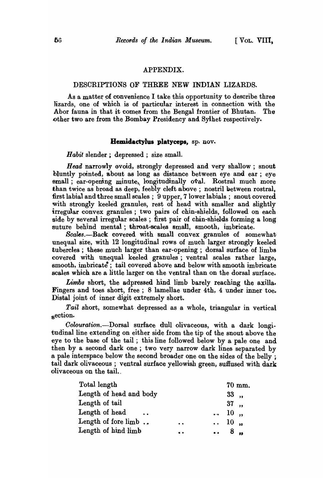### APPENDIX.

### DESCRIPTIONS OF THREE NEW INDIAN LIZARDS.

As a matter of convenience I take this opportunity to describe three lizards, one of which is of particular interest in connection with the Abor fauna in that it comes from the Bengal frontier of Bhutan. The other two are from the Bombay Presidency and Sylhet respectively.

#### Hemidactylus platyceps, sp. nov.

*Habit* slender; depressed; size small.

*Head* narrowly ovoid, strongly depressed and very shallow; snout bluntly pointed, about as long as distance between eye and ear; eye small; ear-opening minute, longitudinally oval. Rostral much more than twice as broad as deep, feebly cleft above; nostril between rostral, first labial and three small scales ; 9 upper, 7 lower labials; snout covered with strongly keeled granules, rest of head with smaller and slightly irregular convex granules; two pairs of chin-shields, followed on each side by several irregular scales; first pair of chin-shields forming a long suture behind mental; throat-scales small, smooth, imbricate.

Scales.--Back covered with small convex granules of somewhat unequal size, with 12 longitudinal rows of much larger strongly keeled tubercles; these much larger than ear-opening; dorsal surface of limbs covered with unequal keeled granules; ventral scales rather large, smooth, imbricate; tail covered above and below with smooth imbricate scales which are a little larger on the ventral than on the dorsal surface.

*Limbs* short, the adpressed hind limb barely reaching the axilla. Fingers and toes short, free; 8 lamellae under 4th, 4 under inner toe. Distal joint of inner digit extremely short.

*Tail* short, somewhat depressed as a whole, triangular in vertical section.

*Oolouration.-Dorsal* surface dull olivaceous, with a dark longitudinal line extending on either side from the tip of the snout above the eye to the base of the tail ; this line followed below by a pale one and then by a second dark one ; two very narrow dark lines separated by a pale interspace below the second broader one on the sides of the belly; tail dark olivaceous; ventral surface yellowish green, suffused with dark olivaceous on the taiL.

| Total length                           |           |                             | 70 mm. |
|----------------------------------------|-----------|-----------------------------|--------|
| Length of head and body                |           | $33$ ,                      |        |
| Length of tail                         |           | 37,                         |        |
| Length of head<br>$\sim$ $\sim$ $\sim$ |           | $\cdots$ 10,                |        |
| Length of fore limb.                   | $\bullet$ | $\ldots$ 10 $\ldots$        |        |
| Length of hind limb                    | $\bullet$ | $\therefore$ 8 $\therefore$ |        |
|                                        |           |                             |        |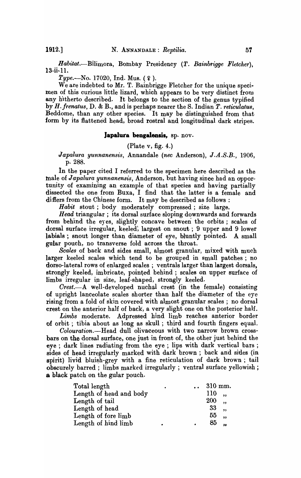Habitat.-Bilimora, Bombay Presidency (T. Bainbrigge Fletcher).  $13$ -ii- $11.$ 

 $Type. - No. 17020, Ind. Mus. (2).$ 

We are indebted to Mr. T. Bainbrigge Fletcher for the unique specimen of this curious little lizard, which appears to be very distinct from any hitherto described. It belongs to the section of the genus typified by *H.frenatus,* D. & B., and is perhaps nearer the S. Indian *T. reticulatus,*  Beddome, than any other species. It may be distinguished from that form by its flattened head, broad rostral and longitudinal.dark stripes.

#### Japalura bengalensis, sp. nov.

(Plate v, fig. 4.)

*Japalura yunnanensis,* Annandale *(nee* Anderson), *J.A.S.B., 1906,*  p. 288.

In the paper cited I referred to the specimen here described as the male of *Japalura yunnanensis*, Anderson, but having since had an opportunity of examining an example of that species and having partially dissected the one from Buxa, I find that the latter is a female and differs from the Chinese form. It may be described as follows:

*Habit* stout; body moderately compressed; size large.

*Head* triangular; its dorsal surface sloping downwards and forwards from behind the eyes, slightly concave between the orbits; scales of dorsal surface irregular, keeled; largest on snout; 9 upper and 9 lower labials; snout longer than diameter of eye, bluntly pointed. A small gular pouch, no transverse fold across the throat.

*Scales* of back and sides small, almost granular, mixed with much larger keeled scales which tend to be grouped in small patches ; no dorso-Iateral rows of enlarged scales; ventrals larger than largest dorsals, strongly keeled, imbricate, pointed behind; scales on upper surface of limbs irregular in size, leaf-shaped, strongly keeled.

*Crest.-A* well-developed nuchal crest (in the female) consisting of upright lanceolate scales shorter than half the diameter of the eye rising from a fold of skin covered with almost granular scales; no dorsal crest on the anterior half of back, a very slight one on the posterior half.

*Limbs* moderate. Adpressed hind limb reaches anterior border of orbit; tibia about as long as skull; third and fourth fingers equal.

*Colouration.-Head* dull olivaceous with two narrow brown crossbars on the dorsal surface, one just in front of, the other just behind the eye; dark lines radiating from the eye; lips with dark vertical bars; sides of head irregularly marked with dark brown; back and sides (in spirit) livid bluish-grey with a fine reticulation of dark brown; tail obscurely barred; limbs marked irregularly; ventral surface yellowish; a black patch on the gular pouch.

| Total length            | $\bullet$ | $310$ mm.  |  |
|-------------------------|-----------|------------|--|
| Length of head and body |           | 110        |  |
| Length of tail          |           | <b>200</b> |  |
| Length of head          |           | 33         |  |
| Length of fore limb     |           | 55         |  |
| Length of hind limb     |           | 85         |  |
|                         |           |            |  |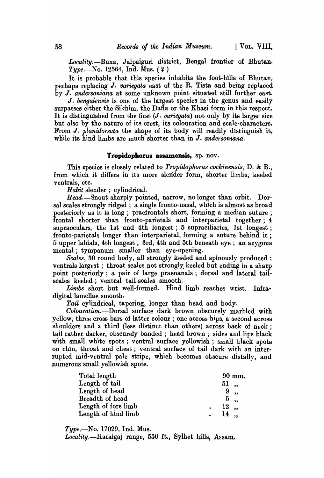*Locality.*-Buxa, Jalpaiguri district, Bengal frontier of Bhutan.  $Type. -No. 12564, Ind. Mus. (2)$ 

It is probable that this species inhabits the foot-hills of Bhutan, perhaps replacing J. *variegata* east of the R. Tista and being replaced by J. *andersoniana* at some unknown point situated still further east.

J. *bengalensis* is one of the largest species in the genus and easily surpasses either the Sikhim, the Dafla or the Khasi form in this respect. It is distinguished from the first (J. *variegata)* not only by its larger size but also by the nature of its crest, its colouration and scale-characters. From J. *planidorsata* the shape of its body will readily distinguish it, while its hind limbs are much shorter than in J. *andersoniana.* 

## **Tropidopborus assamensis,** sp. nov.

This \$pecies is closely related to *Tropidophorus cochinensis,* D. & B., from which it difiers in its more slender form, shorter limbs, keeled ventrals, etc.

*Habit* slender ; cylindrical.

Head.-Snout sharply pointed, narrow, no longer than orbit. Dorsal scales strongly ridged; a single fronto-nasal, which is almost as broad posteriorly as it is long; praefrontals short, forming a median suture; frontal shorter than fronto-parietals and interparietal together; 4 supraoculars, the 1st and 4th longest; 5 supraciliaries, 1st longest; fronto-parietals longer than interparietal, forming a suture behind it ; 5 upper labials, 4th longest; 3rd, 4th and 5th beneath eye; an azygous mental ; tympanum smaller than eye-opening.

*Scales,* 30 round body, all strongly keeled and spinously produced; ventrals largest; throat scales not strongly. keeled but ending in a sharp point posteriorly; a pair of large praenanals ; dorsal and lateral tailscales keeled; ventral tail-scales smooth.

Limbs short but well-formed. Hind limb reaches wrist. Infradigital lamellae smooth.

*Tail* cylindrical, tapering, longer than head and body.

*Colouration.*-Dorsal surface dark brown obscurely marbled with yellow, three cross-bars of latter colour; one across hips, a second across shoulders and a third (less distinct than others) across back of neck ; tail rather darker, obscurely banded; head brown; sides and lips black with small white spots; ventral surface yellowish; small black spots on chin, throat and chest; ventral surface of tail dark with an interrupted mid-ventral pale stripe, which becomes obscure distally, and numerous small yellowish spots.

| Total length        |        | $90$ mm. |
|---------------------|--------|----------|
| Length of tail      | 51,    |          |
| Length of head      | 9,     |          |
| Breadth of head     | 5,     |          |
| Length of fore limb | $12$ . |          |
| Length of hind limb | $14$ . |          |

*Type.-No.* 17029, Ind. Mus.

*Locality.*—Haraigaj range, 550 ft., Sylhet hills, Assam.